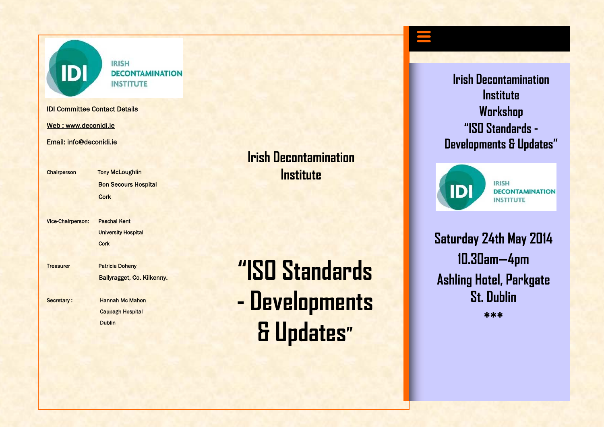

**IRISH DECONTAMINATION INSTITUTE** 

IDI Committee Contact Details

Web : www.deconidi.ie

Email: info@deconidi.ie

Chairperson Tony McLoughlin Bon Secours Hospital

Vice-Chairperson: Paschal Kent University Hospital **Cork Cork** 

**Cork Cork** 

Treasurer Patricia Doheny Ballyragget, Co. Kilkenny.

Secretary: Hannah Mc Mahon Cappagh Hospital **Dublin** Dublin

## **Irish Decontamination Institute**

# **"ISO Standards- Developments & Updates"**

**Irish Decontamination Institute Workshop "ISO Standards -Developments & Updates"** 



**IRISH DECONTAMINATION INSTITUTE** 

**Saturday 24th May 2014 10.30am—4pm Ashling Hotel, Parkgate St. Dublin \*\*\***